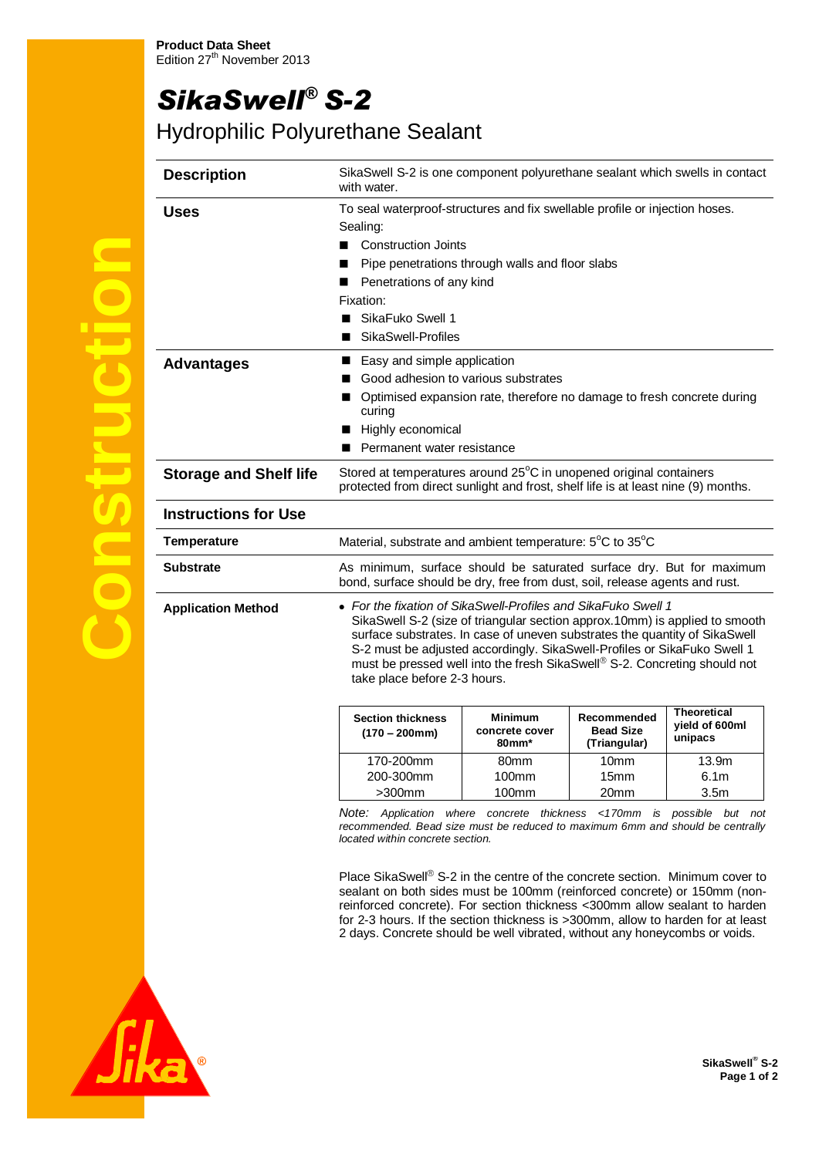## *SikaSwell® S-2*

## Hydrophilic Polyurethane Sealant

|          | <b>Description</b>            | SikaSwell S-2 is one component polyurethane sealant which swells in contact<br>with water.                                                                                                                                                                                                                                                                                                                                                                                                                                                                                                                                                                              |       |                  |                  |
|----------|-------------------------------|-------------------------------------------------------------------------------------------------------------------------------------------------------------------------------------------------------------------------------------------------------------------------------------------------------------------------------------------------------------------------------------------------------------------------------------------------------------------------------------------------------------------------------------------------------------------------------------------------------------------------------------------------------------------------|-------|------------------|------------------|
|          | <b>Uses</b>                   | To seal waterproof-structures and fix swellable profile or injection hoses.<br>Sealing:<br><b>Construction Joints</b><br>■<br>Pipe penetrations through walls and floor slabs<br>Penetrations of any kind<br>Fixation:<br>SikaFuko Swell 1<br>SikaSwell-Profiles                                                                                                                                                                                                                                                                                                                                                                                                        |       |                  |                  |
|          | <b>Advantages</b>             | Easy and simple application<br>Good adhesion to various substrates<br>Optimised expansion rate, therefore no damage to fresh concrete during<br>curing<br>Highly economical<br>Permanent water resistance                                                                                                                                                                                                                                                                                                                                                                                                                                                               |       |                  |                  |
|          | <b>Storage and Shelf life</b> | Stored at temperatures around 25°C in unopened original containers<br>protected from direct sunlight and frost, shelf life is at least nine (9) months.                                                                                                                                                                                                                                                                                                                                                                                                                                                                                                                 |       |                  |                  |
|          | <b>Instructions for Use</b>   |                                                                                                                                                                                                                                                                                                                                                                                                                                                                                                                                                                                                                                                                         |       |                  |                  |
|          | <b>Temperature</b>            | Material, substrate and ambient temperature: 5°C to 35°C                                                                                                                                                                                                                                                                                                                                                                                                                                                                                                                                                                                                                |       |                  |                  |
| <b>T</b> | <b>Substrate</b>              | As minimum, surface should be saturated surface dry. But for maximum<br>bond, surface should be dry, free from dust, soil, release agents and rust.                                                                                                                                                                                                                                                                                                                                                                                                                                                                                                                     |       |                  |                  |
|          | <b>Application Method</b>     | • For the fixation of SikaSwell-Profiles and SikaFuko Swell 1<br>SikaSwell S-2 (size of triangular section approx.10mm) is applied to smooth<br>surface substrates. In case of uneven substrates the quantity of SikaSwell<br>S-2 must be adjusted accordingly. SikaSwell-Profiles or SikaFuko Swell 1<br>must be pressed well into the fresh SikaSwell® S-2. Concreting should not<br>take place before 2-3 hours.<br><b>Theoretical</b><br>Recommended<br><b>Section thickness</b><br>Minimum<br>vield of 600ml<br><b>Bead Size</b><br>concrete cover<br>$(170 - 200$ mm)<br>unipacs<br>$80$ mm $*$<br>(Triangular)<br>170-200mm<br>80mm<br>10mm<br>13.9 <sub>m</sub> |       |                  |                  |
|          |                               | 200-300mm                                                                                                                                                                                                                                                                                                                                                                                                                                                                                                                                                                                                                                                               | 100mm | 15 <sub>mm</sub> | 6.1 <sub>m</sub> |

>300mm

*Note: Application where concrete thickness <170mm is possible but not recommended. Bead size must be reduced to maximum 6mm and should be centrally located within concrete section.*

20mm

100mm

Place SikaSwell® S-2 in the centre of the concrete section. Minimum cover to sealant on both sides must be 100mm (reinforced concrete) or 150mm (nonreinforced concrete). For section thickness <300mm allow sealant to harden for 2-3 hours. If the section thickness is >300mm, allow to harden for at least 2 days. Concrete should be well vibrated, without any honeycombs or voids.



3.5m